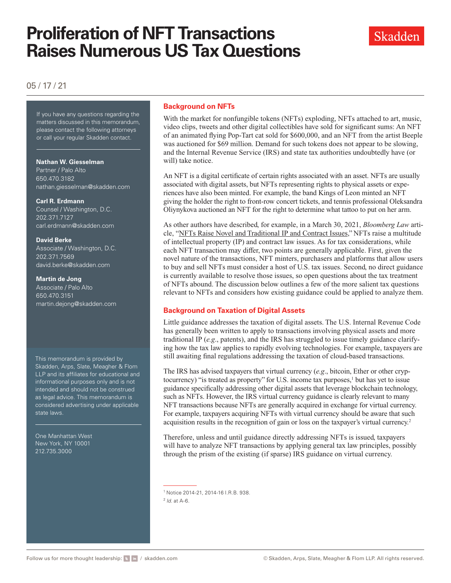

# 05 / 17 / 21

If you have any questions regarding the matters discussed in this memorandum, please contact the following attorneys or call your regular Skadden contact.

### **Nathan W. Giesselman**

Partner / Palo Alto 650.470.3182 [nathan.giesselman@skadden.com](mailto: nathan.giesselman@skadden.com)

### **Carl R. Erdmann**

Counsel / Washington, D.C. 202.371.7127 [carl.erdmann@skadden.com](mailto: carl.erdmann@skadden.com)

### **David Berke**

Associate / Washington, D.C. 202.371.7569 [david.berke@skadden.com](mailto: david.berke@skadden.com)

### **Martin de Jong**

Associate / Palo Alto 650.470.3151 [martin.dejong@skadden.com](mailto: martin.dejong@skadden.com)

This memorandum is provided by Skadden, Arps, Slate, Meagher & Flom LLP and its affiliates for educational and informational purposes only and is not intended and should not be construed as legal advice. This memorandum is considered advertising under applicable state laws.

One Manhattan West New York, NY 10001 212.735.3000

## **Background on NFTs**

With the market for nonfungible tokens (NFTs) exploding, NFTs attached to art, music, video clips, tweets and other digital collectibles have sold for significant sums: An NFT of an animated flying Pop-Tart cat sold for \$600,000, and an NFT from the artist Beeple was auctioned for \$69 million. Demand for such tokens does not appear to be slowing, and the Internal Revenue Service (IRS) and state tax authorities undoubtedly have (or will) take notice.

An NFT is a digital certificate of certain rights associated with an asset. NFTs are usually associated with digital assets, but NFTs representing rights to physical assets or experiences have also been minted. For example, the band Kings of Leon minted an NFT giving the holder the right to front-row concert tickets, and tennis professional Oleksandra Oliynykova auctioned an NFT for the right to determine what tattoo to put on her arm.

As other authors have described, for example, in a March 30, 2021, *Bloomberg Law* article, ["NFTs Raise Novel and Traditional IP and Contract Issues](https://www.skadden.com/-/media/files/publications/2021/05/proliferation-of-nft-transactions/ntfs-raise-novel-and-traditional-ip-and-contract-i.pdf)," NFTs raise a multitude of intellectual property (IP) and contract law issues. As for tax considerations, while each NFT transaction may differ, two points are generally applicable. First, given the novel nature of the transactions, NFT minters, purchasers and platforms that allow users to buy and sell NFTs must consider a host of U.S. tax issues. Second, no direct guidance is currently available to resolve those issues, so open questions about the tax treatment of NFTs abound. The discussion below outlines a few of the more salient tax questions relevant to NFTs and considers how existing guidance could be applied to analyze them.

# **Background on Taxation of Digital Assets**

Little guidance addresses the taxation of digital assets. The U.S. Internal Revenue Code has generally been written to apply to transactions involving physical assets and more traditional IP (*e.g*., patents), and the IRS has struggled to issue timely guidance clarifying how the tax law applies to rapidly evolving technologies. For example, taxpayers are still awaiting final regulations addressing the taxation of cloud-based transactions.

The IRS has advised taxpayers that virtual currency (*e.g*., bitcoin, Ether or other cryptocurrency) "is treated as property" for U.S. income tax purposes,<sup>1</sup> but has yet to issue guidance specifically addressing other digital assets that leverage blockchain technology, such as NFTs. However, the IRS virtual currency guidance is clearly relevant to many NFT transactions because NFTs are generally acquired in exchange for virtual currency. For example, taxpayers acquiring NFTs with virtual currency should be aware that such acquisition results in the recognition of gain or loss on the taxpayer's virtual currency.2

Therefore, unless and until guidance directly addressing NFTs is issued, taxpayers will have to analyze NFT transactions by applying general tax law principles, possibly through the prism of the existing (if sparse) IRS guidance on virtual currency.

<sup>1</sup> Notice 2014-21, 2014-16 I.R.B. 938.

<sup>2</sup> *Id*. at A-6.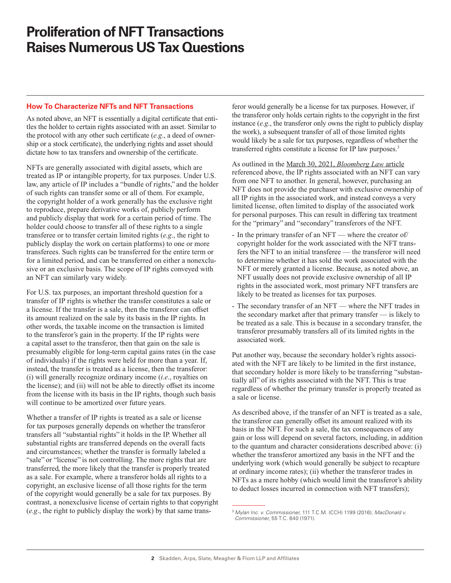### **How To Characterize NFTs and NFT Transactions**

As noted above, an NFT is essentially a digital certificate that entitles the holder to certain rights associated with an asset. Similar to the protocol with any other such certificate (*e.g*., a deed of ownership or a stock certificate), the underlying rights and asset should dictate how to tax transfers and ownership of the certificate.

NFTs are generally associated with digital assets, which are treated as IP or intangible property, for tax purposes. Under U.S. law, any article of IP includes a "bundle of rights," and the holder of such rights can transfer some or all of them. For example, the copyright holder of a work generally has the exclusive right to reproduce, prepare derivative works of, publicly perform and publicly display that work for a certain period of time. The holder could choose to transfer all of these rights to a single transferee or to transfer certain limited rights (*e.g*., the right to publicly display the work on certain platforms) to one or more transferees. Such rights can be transferred for the entire term or for a limited period, and can be transferred on either a nonexclusive or an exclusive basis. The scope of IP rights conveyed with an NFT can similarly vary widely.

For U.S. tax purposes, an important threshold question for a transfer of IP rights is whether the transfer constitutes a sale or a license. If the transfer is a sale, then the transferor can offset its amount realized on the sale by its basis in the IP rights. In other words, the taxable income on the transaction is limited to the transferor's gain in the property. If the IP rights were a capital asset to the transferor, then that gain on the sale is presumably eligible for long-term capital gains rates (in the case of individuals) if the rights were held for more than a year. If, instead, the transfer is treated as a license, then the transferor: (i) will generally recognize ordinary income (*i.e*., royalties on the license); and (ii) will not be able to directly offset its income from the license with its basis in the IP rights, though such basis will continue to be amortized over future years.

Whether a transfer of IP rights is treated as a sale or license for tax purposes generally depends on whether the transferor transfers all "substantial rights" it holds in the IP. Whether all substantial rights are transferred depends on the overall facts and circumstances; whether the transfer is formally labeled a "sale" or "license" is not controlling. The more rights that are transferred, the more likely that the transfer is properly treated as a sale. For example, where a transferor holds all rights to a copyright, an exclusive license of all those rights for the term of the copyright would generally be a sale for tax purposes. By contrast, a nonexclusive license of certain rights to that copyright (*e.g*., the right to publicly display the work) by that same trans-

feror would generally be a license for tax purposes. However, if the transferor only holds certain rights to the copyright in the first instance (*e.g*., the transferor only owns the right to publicly display the work), a subsequent transfer of all of those limited rights would likely be a sale for tax purposes, regardless of whether the transferred rights constitute a license for IP law purposes.3

As outlined in the [March 30, 2021,](https://www.skadden.com/-/media/files/publications/2021/05/proliferation-of-nft-transactions/ntfs-raise-novel-and-traditional-ip-and-contract-i.pdf) *Bloomberg Law* article referenced above, the IP rights associated with an NFT can vary from one NFT to another. In general, however, purchasing an NFT does not provide the purchaser with exclusive ownership of all IP rights in the associated work, and instead conveys a very limited license, often limited to display of the associated work for personal purposes. This can result in differing tax treatment for the "primary" and "secondary" transferors of the NFT.

- In the primary transfer of an NFT where the creator of/ copyright holder for the work associated with the NFT transfers the NFT to an initial transferee — the transferor will need to determine whether it has sold the work associated with the NFT or merely granted a license. Because, as noted above, an NFT usually does not provide exclusive ownership of all IP rights in the associated work, most primary NFT transfers are likely to be treated as licenses for tax purposes.
- The secondary transfer of an NFT where the NFT trades in the secondary market after that primary transfer — is likely to be treated as a sale. This is because in a secondary transfer, the transferor presumably transfers all of its limited rights in the associated work.

Put another way, because the secondary holder's rights associated with the NFT are likely to be limited in the first instance, that secondary holder is more likely to be transferring "substantially all" of its rights associated with the NFT. This is true regardless of whether the primary transfer is properly treated as a sale or license.

As described above, if the transfer of an NFT is treated as a sale, the transferor can generally offset its amount realized with its basis in the NFT. For such a sale, the tax consequences of any gain or loss will depend on several factors, including, in addition to the quantum and character considerations described above: (i) whether the transferor amortized any basis in the NFT and the underlying work (which would generally be subject to recapture at ordinary income rates); (ii) whether the transferor trades in NFTs as a mere hobby (which would limit the transferor's ability to deduct losses incurred in connection with NFT transfers);

<sup>3</sup> *Mylan Inc. v. Commissioner*, 111 T.C.M. (CCH) 1199 (2016); *MacDonald v. Commissioner*, 55 T.C. 840 (1971).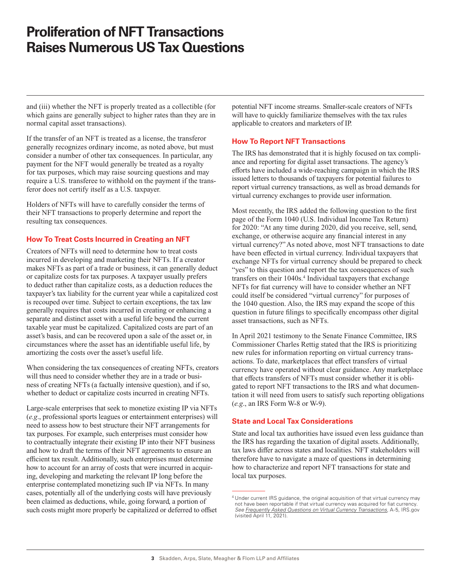and (iii) whether the NFT is properly treated as a collectible (for which gains are generally subject to higher rates than they are in normal capital asset transactions).

If the transfer of an NFT is treated as a license, the transferor generally recognizes ordinary income, as noted above, but must consider a number of other tax consequences. In particular, any payment for the NFT would generally be treated as a royalty for tax purposes, which may raise sourcing questions and may require a U.S. transferee to withhold on the payment if the transferor does not certify itself as a U.S. taxpayer.

Holders of NFTs will have to carefully consider the terms of their NFT transactions to properly determine and report the resulting tax consequences.

## **How To Treat Costs Incurred in Creating an NFT**

Creators of NFTs will need to determine how to treat costs incurred in developing and marketing their NFTs. If a creator makes NFTs as part of a trade or business, it can generally deduct or capitalize costs for tax purposes. A taxpayer usually prefers to deduct rather than capitalize costs, as a deduction reduces the taxpayer's tax liability for the current year while a capitalized cost is recouped over time. Subject to certain exceptions, the tax law generally requires that costs incurred in creating or enhancing a separate and distinct asset with a useful life beyond the current taxable year must be capitalized. Capitalized costs are part of an asset's basis, and can be recovered upon a sale of the asset or, in circumstances where the asset has an identifiable useful life, by amortizing the costs over the asset's useful life.

When considering the tax consequences of creating NFTs, creators will thus need to consider whether they are in a trade or business of creating NFTs (a factually intensive question), and if so, whether to deduct or capitalize costs incurred in creating NFTs.

Large-scale enterprises that seek to monetize existing IP via NFTs (*e.g*., professional sports leagues or entertainment enterprises) will need to assess how to best structure their NFT arrangements for tax purposes. For example, such enterprises must consider how to contractually integrate their existing IP into their NFT business and how to draft the terms of their NFT agreements to ensure an efficient tax result. Additionally, such enterprises must determine how to account for an array of costs that were incurred in acquiring, developing and marketing the relevant IP long before the enterprise contemplated monetizing such IP via NFTs. In many cases, potentially all of the underlying costs will have previously been claimed as deductions, while, going forward, a portion of such costs might more properly be capitalized or deferred to offset

potential NFT income streams. Smaller-scale creators of NFTs will have to quickly familiarize themselves with the tax rules applicable to creators and marketers of IP.

## **How To Report NFT Transactions**

The IRS has demonstrated that it is highly focused on tax compliance and reporting for digital asset transactions. The agency's efforts have included a wide-reaching campaign in which the IRS issued letters to thousands of taxpayers for potential failures to report virtual currency transactions, as well as broad demands for virtual currency exchanges to provide user information.

Most recently, the IRS added the following question to the first page of the Form 1040 (U.S. Individual Income Tax Return) for 2020: "At any time during 2020, did you receive, sell, send, exchange, or otherwise acquire any financial interest in any virtual currency?" As noted above, most NFT transactions to date have been effected in virtual currency. Individual taxpayers that exchange NFTs for virtual currency should be prepared to check "yes" to this question and report the tax consequences of such transfers on their 1040s.<sup>4</sup> Individual taxpayers that exchange NFTs for fiat currency will have to consider whether an NFT could itself be considered "virtual currency" for purposes of the 1040 question. Also, the IRS may expand the scope of this question in future filings to specifically encompass other digital asset transactions, such as NFTs.

In April 2021 testimony to the Senate Finance Committee, IRS Commissioner Charles Rettig stated that the IRS is prioritizing new rules for information reporting on virtual currency transactions. To date, marketplaces that effect transfers of virtual currency have operated without clear guidance. Any marketplace that effects transfers of NFTs must consider whether it is obligated to report NFT transactions to the IRS and what documentation it will need from users to satisfy such reporting obligations (*e.g*., an IRS Form W-8 or W-9).

## **State and Local Tax Considerations**

State and local tax authorities have issued even less guidance than the IRS has regarding the taxation of digital assets. Additionally, tax laws differ across states and localities. NFT stakeholders will therefore have to navigate a maze of questions in determining how to characterize and report NFT transactions for state and local tax purposes.

<sup>&</sup>lt;sup>4</sup> Under current IRS guidance, the original acquisition of that virtual currency may not have been reportable if that virtual currency was acquired for fiat currency. *See [Frequently Asked Questions on Virtual Currency Transactions](https://www.irs.gov/individuals/international-taxpayers/frequently-asked-questions-on-virtual-currency-transactions)*, A-5, IRS.gov (visited April 11, 2021).